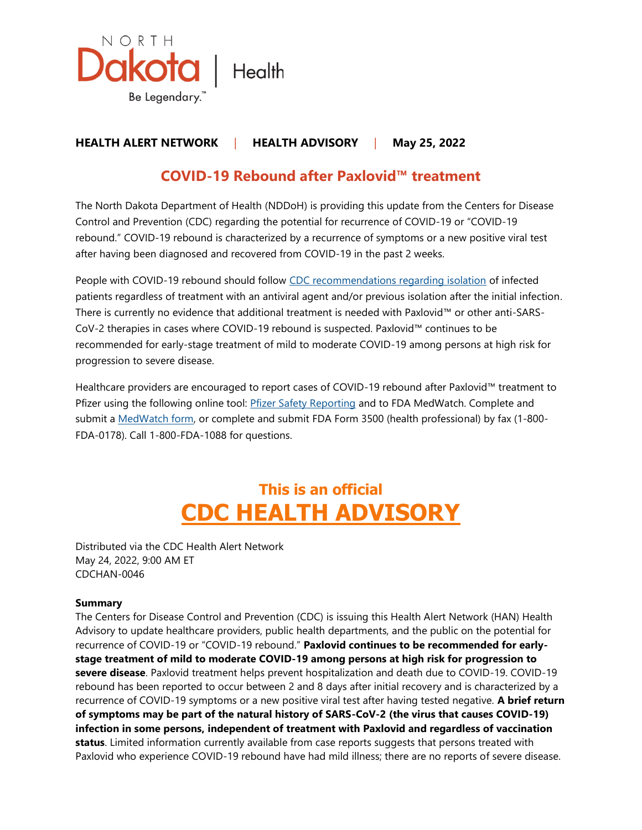

### **HEALTH ALERT NETWORK** | **HEALTH ADVISORY** | **May 25, 2022**

## **COVID-19 Rebound after Paxlovid™ treatment**

The North Dakota Department of Health (NDDoH) is providing this update from the Centers for Disease Control and Prevention (CDC) regarding the potential for recurrence of COVID-19 or "COVID-19 rebound." COVID-19 rebound is characterized by a recurrence of symptoms or a new positive viral test after having been diagnosed and recovered from COVID-19 in the past 2 weeks.

People with COVID-19 rebound should follow [CDC recommendations regarding isolation](https://www.cdc.gov/coronavirus/2019-ncov/your-health/quarantine-isolation.html) of infected patients regardless of treatment with an antiviral agent and/or previous isolation after the initial infection. There is currently no evidence that additional treatment is needed with Paxlovid™ or other anti-SARS-CoV-2 therapies in cases where COVID-19 rebound is suspected. Paxlovid™ continues to be recommended for early-stage treatment of mild to moderate COVID-19 among persons at high risk for progression to severe disease.

Healthcare providers are encouraged to report cases of COVID-19 rebound after Paxlovid™ treatment to Pfizer using the following online tool: [Pfizer Safety Reporting](https://paxaes.pfizersafetyreporting.com/#/en) and to FDA MedWatch. Complete and submit a [MedWatch form,](http://www.fda.gov/medwatch/report.htm) or complete and submit FDA Form 3500 (health professional) by fax (1-800- FDA-0178). Call 1-800-FDA-1088 for questions.

# **This is an official CDC HEALTH ADVISORY**

Distributed via the CDC Health Alert Network May 24, 2022, 9:00 AM ET CDCHAN-0046

#### **Summary**

The Centers for Disease Control and Prevention (CDC) is issuing this Health Alert Network (HAN) Health Advisory to update healthcare providers, public health departments, and the public on the potential for recurrence of COVID-19 or "COVID-19 rebound." **Paxlovid continues to be recommended for earlystage treatment of mild to moderate COVID-19 among persons at high risk for progression to severe disease**. Paxlovid treatment helps prevent hospitalization and death due to COVID-19. COVID-19 rebound has been reported to occur between 2 and 8 days after initial recovery and is characterized by a recurrence of COVID-19 symptoms or a new positive viral test after having tested negative. **A brief return of symptoms may be part of the natural history of SARS-CoV-2 (the virus that causes COVID-19) infection in some persons, independent of treatment with Paxlovid and regardless of vaccination status**. Limited information currently available from case reports suggests that persons treated with Paxlovid who experience COVID-19 rebound have had mild illness; there are no reports of severe disease.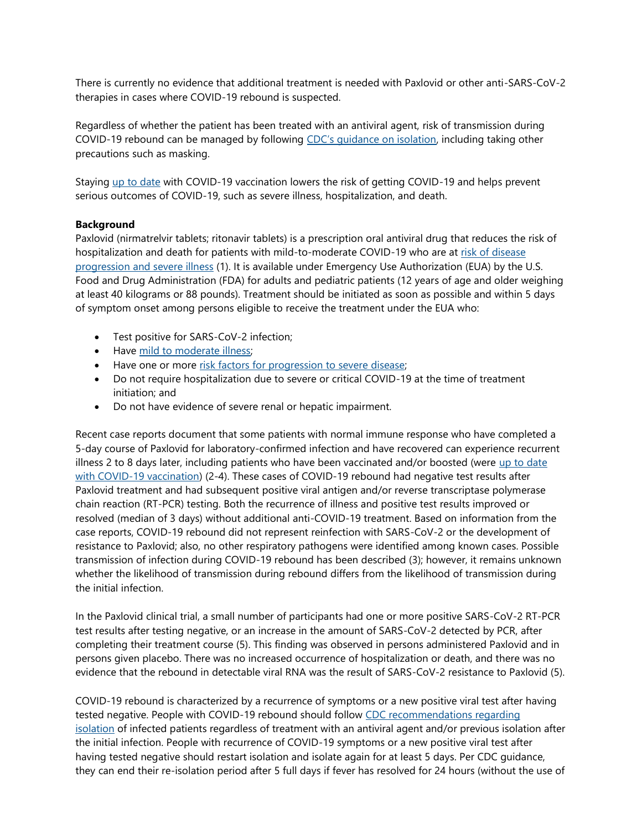There is currently no evidence that additional treatment is needed with Paxlovid or other anti-SARS-CoV-2 therapies in cases where COVID-19 rebound is suspected.

Regardless of whether the patient has been treated with an antiviral agent, risk of transmission during COVID-19 rebound can be managed by following [CDC's guidance on isolation](https://www.cdc.gov/coronavirus/2019-ncov/your-health/quarantine-isolation.html), including taking other precautions such as masking.

Staying [up to date](https://www.cdc.gov/coronavirus/2019-ncov/vaccines/stay-up-to-date.html) with COVID-19 vaccination lowers the risk of getting COVID-19 and helps prevent serious outcomes of COVID-19, such as severe illness, hospitalization, and death.

#### **Background**

Paxlovid (nirmatrelvir tablets; ritonavir tablets) is a prescription oral antiviral drug that reduces the risk of hospitalization and death for patients with mild-to-moderate COVID-19 who are at risk of disease [progression and severe illness](https://www.cdc.gov/coronavirus/2019-ncov/hcp/clinical-care/underlyingconditions.html) (1). It is available under Emergency Use Authorization (EUA) by the U.S. Food and Drug Administration (FDA) for adults and pediatric patients (12 years of age and older weighing at least 40 kilograms or 88 pounds). Treatment should be initiated as soon as possible and within 5 days of symptom onset among persons eligible to receive the treatment under the EUA who:

- Test positive for SARS-CoV-2 infection;
- Have [mild to moderate illness;](https://www.covid19treatmentguidelines.nih.gov/overview/clinical-spectrum/)
- Have one or more [risk factors for progression to severe disease;](https://www.cdc.gov/coronavirus/2019-ncov/hcp/clinical-care/underlyingconditions.html)
- Do not require hospitalization due to severe or critical COVID-19 at the time of treatment initiation; and
- Do not have evidence of severe renal or hepatic impairment.

Recent case reports document that some patients with normal immune response who have completed a 5-day course of Paxlovid for laboratory-confirmed infection and have recovered can experience recurrent illness 2 to 8 days later, including patients who have been vaccinated and/or boosted (were [up to date](https://www.cdc.gov/coronavirus/2019-ncov/vaccines/stay-up-to-date.html?s_cid=11747:what%20is%20up%20to%20date%20on%20covid%20vaccine:sem.ga:p:RG:GM:gen:PTN:FY22)  [with COVID-19 vaccination\)](https://www.cdc.gov/coronavirus/2019-ncov/vaccines/stay-up-to-date.html?s_cid=11747:what%20is%20up%20to%20date%20on%20covid%20vaccine:sem.ga:p:RG:GM:gen:PTN:FY22) (2-4). These cases of COVID-19 rebound had negative test results after Paxlovid treatment and had subsequent positive viral antigen and/or reverse transcriptase polymerase chain reaction (RT-PCR) testing. Both the recurrence of illness and positive test results improved or resolved (median of 3 days) without additional anti-COVID-19 treatment. Based on information from the case reports, COVID-19 rebound did not represent reinfection with SARS-CoV-2 or the development of resistance to Paxlovid; also, no other respiratory pathogens were identified among known cases. Possible transmission of infection during COVID-19 rebound has been described (3); however, it remains unknown whether the likelihood of transmission during rebound differs from the likelihood of transmission during the initial infection.

In the Paxlovid clinical trial, a small number of participants had one or more positive SARS-CoV-2 RT-PCR test results after testing negative, or an increase in the amount of SARS-CoV-2 detected by PCR, after completing their treatment course (5). This finding was observed in persons administered Paxlovid and in persons given placebo. There was no increased occurrence of hospitalization or death, and there was no evidence that the rebound in detectable viral RNA was the result of SARS-CoV-2 resistance to Paxlovid (5).

COVID-19 rebound is characterized by a recurrence of symptoms or a new positive viral test after having tested negative. People with COVID-19 rebound should follow [CDC recommendations regarding](https://www.cdc.gov/coronavirus/2019-ncov/your-health/quarantine-isolation.html)  [isolation](https://www.cdc.gov/coronavirus/2019-ncov/your-health/quarantine-isolation.html) of infected patients regardless of treatment with an antiviral agent and/or previous isolation after the initial infection. People with recurrence of COVID-19 symptoms or a new positive viral test after having tested negative should restart isolation and isolate again for at least 5 days. Per CDC guidance, they can end their re-isolation period after 5 full days if fever has resolved for 24 hours (without the use of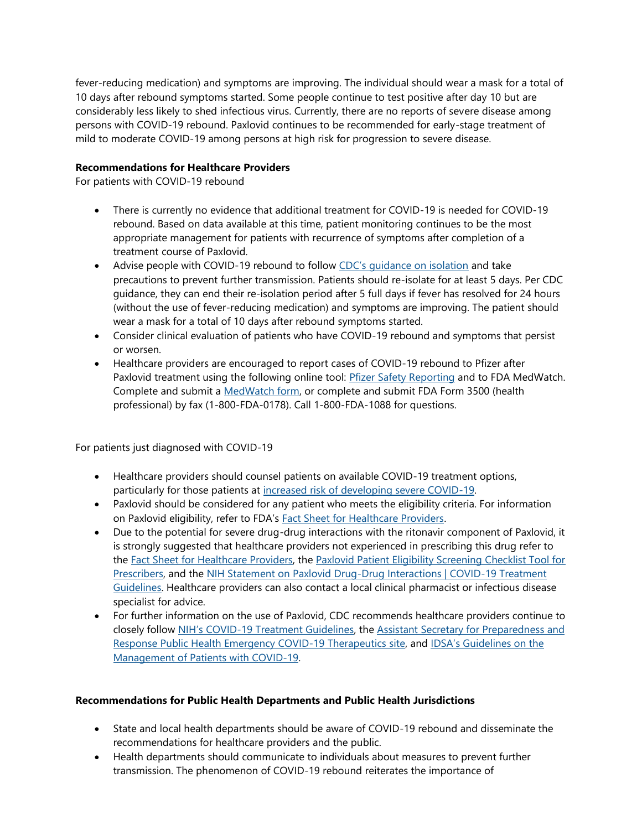fever-reducing medication) and symptoms are improving. The individual should wear a mask for a total of 10 days after rebound symptoms started. Some people continue to test positive after day 10 but are considerably less likely to shed infectious virus. Currently, there are no reports of severe disease among persons with COVID-19 rebound. Paxlovid continues to be recommended for early-stage treatment of mild to moderate COVID-19 among persons at high risk for progression to severe disease.

#### **Recommendations for Healthcare Providers**

For patients with COVID-19 rebound

- There is currently no evidence that additional treatment for COVID-19 is needed for COVID-19 rebound. Based on data available at this time, patient monitoring continues to be the most appropriate management for patients with recurrence of symptoms after completion of a treatment course of Paxlovid.
- Advise people with COVID-19 rebound to follow [CDC's guidance on isolation](https://www.cdc.gov/coronavirus/2019-ncov/your-health/quarantine-isolation.html) and take precautions to prevent further transmission. Patients should re-isolate for at least 5 days. Per CDC guidance, they can end their re-isolation period after 5 full days if fever has resolved for 24 hours (without the use of fever-reducing medication) and symptoms are improving. The patient should wear a mask for a total of 10 days after rebound symptoms started.
- Consider clinical evaluation of patients who have COVID-19 rebound and symptoms that persist or worsen.
- Healthcare providers are encouraged to report cases of COVID-19 rebound to Pfizer after Paxlovid treatment using the following online tool: *[Pfizer Safety Reporting](https://paxaes.pfizersafetyreporting.com/#/en) and to FDA MedWatch.* Complete and submit a [MedWatch form,](http://www.fda.gov/medwatch/report.htm) or complete and submit FDA Form 3500 (health professional) by fax (1-800-FDA-0178). Call 1-800-FDA-1088 for questions.

For patients just diagnosed with COVID-19

- Healthcare providers should counsel patients on available COVID-19 treatment options, particularly for those patients at [increased risk of developing severe COVID-19.](https://www.cdc.gov/coronavirus/2019-ncov/hcp/clinical-care/underlyingconditions.html)
- Paxlovid should be considered for any patient who meets the eligibility criteria. For information on Paxlovid eligibility, refer to FDA's [Fact Sheet for Healthcare Providers.](https://www.fda.gov/media/155050/download)
- Due to the potential for severe drug-drug interactions with the ritonavir component of Paxlovid, it is strongly suggested that healthcare providers not experienced in prescribing this drug refer to the [Fact Sheet for Healthcare Providers,](https://www.fda.gov/media/155050/download) the [Paxlovid Patient Eligibility Screening Checklist Tool for](https://www.fda.gov/media/158165/download)  [Prescribers,](https://www.fda.gov/media/158165/download) and the [NIH Statement on Paxlovid Drug-Drug Interactions | COVID-19 Treatment](https://www.covid19treatmentguidelines.nih.gov/therapies/antiviral-therapy/ritonavir-boosted-nirmatrelvir--paxlovid-/paxlovid-drug-drug-interactions/)  [Guidelines.](https://www.covid19treatmentguidelines.nih.gov/therapies/antiviral-therapy/ritonavir-boosted-nirmatrelvir--paxlovid-/paxlovid-drug-drug-interactions/) Healthcare providers can also contact a local clinical pharmacist or infectious disease specialist for advice.
- For further information on the use of Paxlovid, CDC recommends healthcare providers continue to closely follow NIH's COVID[-19 Treatment Guidelines,](https://www.covid19treatmentguidelines.nih.gov/) the [Assistant Secretary for Preparedness and](https://www.phe.gov/emergency/events/COVID19/therapeutics/update-23Dec2021/Pages/default.aspx)  [Response Public Health Emergency COVID-19 Therapeutics site,](https://www.phe.gov/emergency/events/COVID19/therapeutics/update-23Dec2021/Pages/default.aspx) and [IDSA's Guidelines on the](https://www.idsociety.org/practice-guideline/covid-19-guideline-treatment-and-management/)  [Management of Patients with COVID-19.](https://www.idsociety.org/practice-guideline/covid-19-guideline-treatment-and-management/)

#### **Recommendations for Public Health Departments and Public Health Jurisdictions**

- State and local health departments should be aware of COVID-19 rebound and disseminate the recommendations for healthcare providers and the public.
- Health departments should communicate to individuals about measures to prevent further transmission. The phenomenon of COVID-19 rebound reiterates the importance of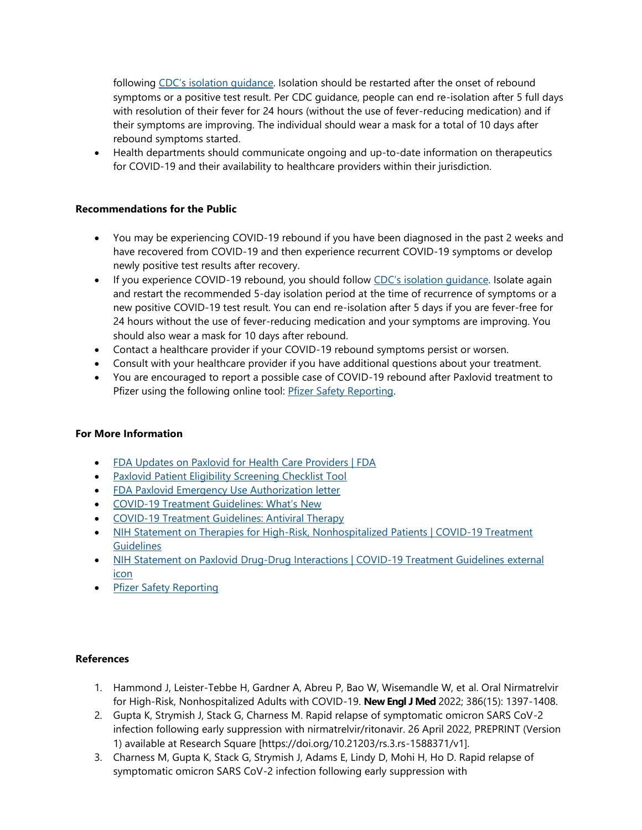following [CDC's isolation guidance](https://www.cdc.gov/coronavirus/2019-ncov/your-health/quarantine-isolation.html). Isolation should be restarted after the onset of rebound symptoms or a positive test result. Per CDC guidance, people can end re-isolation after 5 full days with resolution of their fever for 24 hours (without the use of fever-reducing medication) and if their symptoms are improving. The individual should wear a mask for a total of 10 days after rebound symptoms started.

• Health departments should communicate ongoing and up-to-date information on therapeutics for COVID-19 and their availability to healthcare providers within their jurisdiction.

#### **Recommendations for the Public**

- You may be experiencing COVID-19 rebound if you have been diagnosed in the past 2 weeks and have recovered from COVID-19 and then experience recurrent COVID-19 symptoms or develop newly positive test results after recovery.
- If you experience COVID-19 rebound, you should follow [CDC's isolation guidance](https://www.cdc.gov/coronavirus/2019-ncov/your-health/quarantine-isolation.html). Isolate again and restart the recommended 5-day isolation period at the time of recurrence of symptoms or a new positive COVID-19 test result. You can end re-isolation after 5 days if you are fever-free for 24 hours without the use of fever-reducing medication and your symptoms are improving. You should also wear a mask for 10 days after rebound.
- Contact a healthcare provider if your COVID-19 rebound symptoms persist or worsen.
- Consult with your healthcare provider if you have additional questions about your treatment.
- You are encouraged to report a possible case of COVID-19 rebound after Paxlovid treatment to Pfizer using the following online tool: [Pfizer Safety Reporting.](https://paxaes.pfizersafetyreporting.com/#/en)

#### **For More Information**

- [FDA Updates on Paxlovid for Health Care Providers | FDA](https://www.fda.gov/drugs/news-events-human-drugs/fda-updates-paxlovid-health-care-providers)
- [Paxlovid Patient Eligibility Screening Checklist Tool](https://www.fda.gov/media/158165/download)
- [FDA Paxlovid Emergency Use Authorization letter](https://www.fda.gov/media/155049/download)
- COVID-[19 Treatment Guidelines: What's New](https://www.covid19treatmentguidelines.nih.gov/about-the-guidelines/whats-new/)
- [COVID-19 Treatment Guidelines: Antiviral Therapy](https://www.covid19treatmentguidelines.nih.gov/therapies/antiviral-therapy/)
- NIH Statement on Therapies for High-Risk, Nonhospitalized Patients | COVID-19 Treatment **[Guidelines](https://www.covid19treatmentguidelines.nih.gov/therapies/statement-on-therapies-for-high-risk-nonhospitalized-patients/)**
- [NIH Statement on Paxlovid Drug-Drug Interactions | COVID-19 Treatment Guidelines](https://www.covid19treatmentguidelines.nih.gov/therapies/statement-on-paxlovid-drug-drug-interactions/) external [icon](https://www.covid19treatmentguidelines.nih.gov/therapies/statement-on-paxlovid-drug-drug-interactions/)
- [Pfizer Safety Reporting](https://paxaes.pfizersafetyreporting.com/#/en)

#### **References**

- 1. Hammond J, Leister-Tebbe H, Gardner A, Abreu P, Bao W, Wisemandle W, et al. Oral Nirmatrelvir for High-Risk, Nonhospitalized Adults with COVID-19. **New Engl J Med** 2022; 386(15): 1397-1408.
- 2. Gupta K, Strymish J, Stack G, Charness M. Rapid relapse of symptomatic omicron SARS CoV-2 infection following early suppression with nirmatrelvir/ritonavir. 26 April 2022, PREPRINT (Version 1) available at Research Square [https://doi.org/10.21203/rs.3.rs-1588371/v1].
- 3. Charness M, Gupta K, Stack G, Strymish J, Adams E, Lindy D, Mohi H, Ho D. Rapid relapse of symptomatic omicron SARS CoV-2 infection following early suppression with